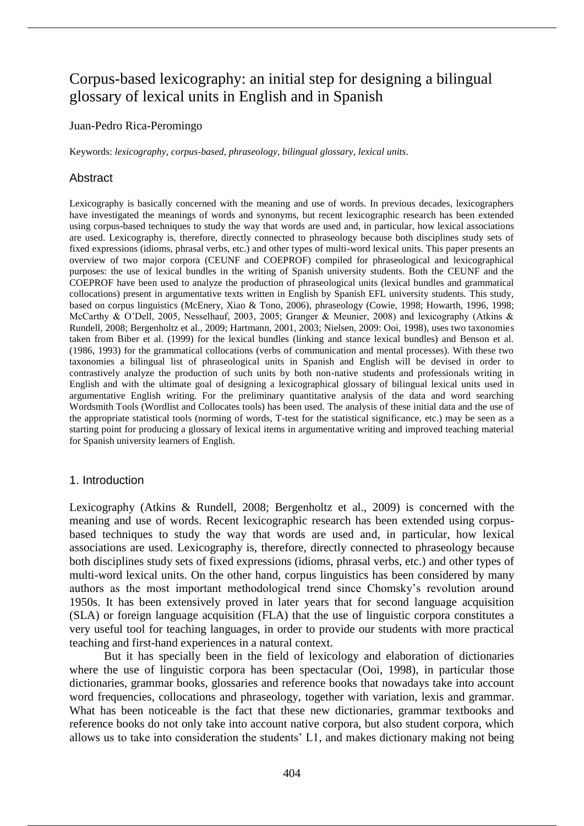# Corpus-based lexicography: an initial step for designing a bilingual glossary of lexical units in English and in Spanish

#### Juan-Pedro Rica-Peromingo

Keywords: *lexicography*, *corpus-based*, *phraseology*, *bilingual glossary*, *lexical units*.

## Abstract

Lexicography is basically concerned with the meaning and use of words. In previous decades, lexicographers have investigated the meanings of words and synonyms, but recent lexicographic research has been extended using corpus-based techniques to study the way that words are used and, in particular, how lexical associations are used. Lexicography is, therefore, directly connected to phraseology because both disciplines study sets of fixed expressions (idioms, phrasal verbs, etc.) and other types of multi-word lexical units. This paper presents an overview of two major corpora (CEUNF and COEPROF) compiled for phraseological and lexicographical purposes: the use of lexical bundles in the writing of Spanish university students. Both the CEUNF and the COEPROF have been used to analyze the production of phraseological units (lexical bundles and grammatical collocations) present in argumentative texts written in English by Spanish EFL university students. This study, based on corpus linguistics (McEnery, Xiao & Tono, 2006), phraseology (Cowie, 1998; Howarth, 1996, 1998; McCarthy & O'Dell, 2005, Nesselhauf, 2003, 2005; Granger & Meunier, 2008) and lexicography (Atkins & Rundell, 2008; Bergenholtz et al., 2009; Hartmann, 2001, 2003; Nielsen, 2009: Ooi, 1998), uses two taxonomies taken from Biber et al. (1999) for the lexical bundles (linking and stance lexical bundles) and Benson et al. (1986, 1993) for the grammatical collocations (verbs of communication and mental processes). With these two taxonomies a bilingual list of phraseological units in Spanish and English will be devised in order to contrastively analyze the production of such units by both non-native students and professionals writing in English and with the ultimate goal of designing a lexicographical glossary of bilingual lexical units used in argumentative English writing. For the preliminary quantitative analysis of the data and word searching Wordsmith Tools (Wordlist and Collocates tools) has been used. The analysis of these initial data and the use of the appropriate statistical tools (norming of words, T-test for the statistical significance, etc.) may be seen as a starting point for producing a glossary of lexical items in argumentative writing and improved teaching material for Spanish university learners of English.

#### 1. Introduction

Lexicography (Atkins & Rundell, 2008; Bergenholtz et al., 2009) is concerned with the meaning and use of words. Recent lexicographic research has been extended using corpusbased techniques to study the way that words are used and, in particular, how lexical associations are used. Lexicography is, therefore, directly connected to phraseology because both disciplines study sets of fixed expressions (idioms, phrasal verbs, etc.) and other types of multi-word lexical units. On the other hand, corpus linguistics has been considered by many authors as the most important methodological trend since Chomsky's revolution around 1950s. It has been extensively proved in later years that for second language acquisition (SLA) or foreign language acquisition (FLA) that the use of linguistic corpora constitutes a very useful tool for teaching languages, in order to provide our students with more practical teaching and first-hand experiences in a natural context.

But it has specially been in the field of lexicology and elaboration of dictionaries where the use of linguistic corpora has been spectacular (Ooi, 1998), in particular those dictionaries, grammar books, glossaries and reference books that nowadays take into account word frequencies, collocations and phraseology, together with variation, lexis and grammar. What has been noticeable is the fact that these new dictionaries, grammar textbooks and reference books do not only take into account native corpora, but also student corpora, which allows us to take into consideration the students' L1, and makes dictionary making not being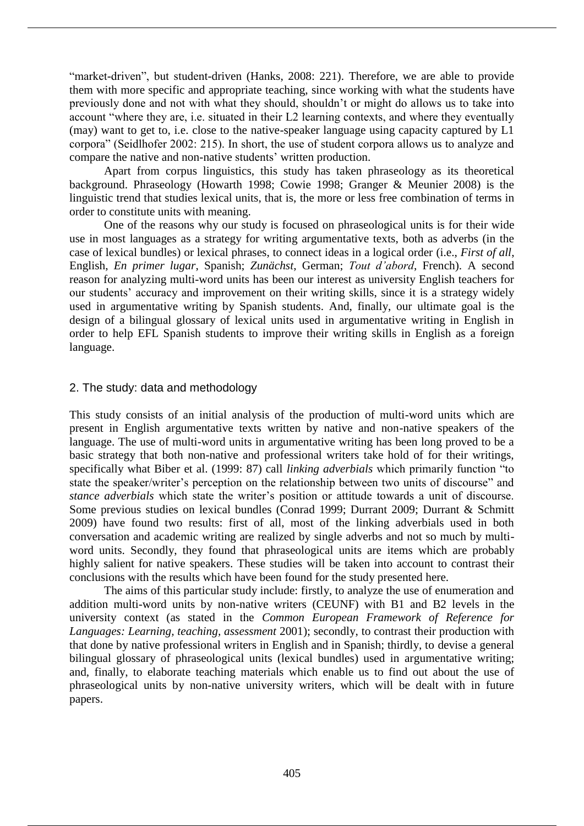"market-driven", but student-driven (Hanks, 2008: 221). Therefore, we are able to provide them with more specific and appropriate teaching, since working with what the students have previously done and not with what they should, shouldn't or might do allows us to take into account "where they are, i.e. situated in their L2 learning contexts, and where they eventually (may) want to get to, i.e. close to the native-speaker language using capacity captured by L1 corpora" (Seidlhofer 2002: 215). In short, the use of student corpora allows us to analyze and compare the native and non-native students' written production.

Apart from corpus linguistics, this study has taken phraseology as its theoretical background. Phraseology (Howarth 1998; Cowie 1998; Granger & Meunier 2008) is the linguistic trend that studies lexical units, that is, the more or less free combination of terms in order to constitute units with meaning.

One of the reasons why our study is focused on phraseological units is for their wide use in most languages as a strategy for writing argumentative texts, both as adverbs (in the case of lexical bundles) or lexical phrases, to connect ideas in a logical order (i.e., *First of all*, English, *En primer lugar*, Spanish; *Zunächst*, German; *Tout d'abord*, French). A second reason for analyzing multi-word units has been our interest as university English teachers for our students' accuracy and improvement on their writing skills, since it is a strategy widely used in argumentative writing by Spanish students. And, finally, our ultimate goal is the design of a bilingual glossary of lexical units used in argumentative writing in English in order to help EFL Spanish students to improve their writing skills in English as a foreign language.

## 2. The study: data and methodology

This study consists of an initial analysis of the production of multi-word units which are present in English argumentative texts written by native and non-native speakers of the language. The use of multi-word units in argumentative writing has been long proved to be a basic strategy that both non-native and professional writers take hold of for their writings, specifically what Biber et al. (1999: 87) call *linking adverbials* which primarily function "to state the speaker/writer's perception on the relationship between two units of discourse" and *stance adverbials* which state the writer's position or attitude towards a unit of discourse. Some previous studies on lexical bundles (Conrad 1999; Durrant 2009; Durrant & Schmitt 2009) have found two results: first of all, most of the linking adverbials used in both conversation and academic writing are realized by single adverbs and not so much by multiword units. Secondly, they found that phraseological units are items which are probably highly salient for native speakers. These studies will be taken into account to contrast their conclusions with the results which have been found for the study presented here.

The aims of this particular study include: firstly, to analyze the use of enumeration and addition multi-word units by non-native writers (CEUNF) with B1 and B2 levels in the university context (as stated in the *Common European Framework of Reference for Languages: Learning, teaching, assessment* 2001); secondly, to contrast their production with that done by native professional writers in English and in Spanish; thirdly, to devise a general bilingual glossary of phraseological units (lexical bundles) used in argumentative writing; and, finally, to elaborate teaching materials which enable us to find out about the use of phraseological units by non-native university writers, which will be dealt with in future papers.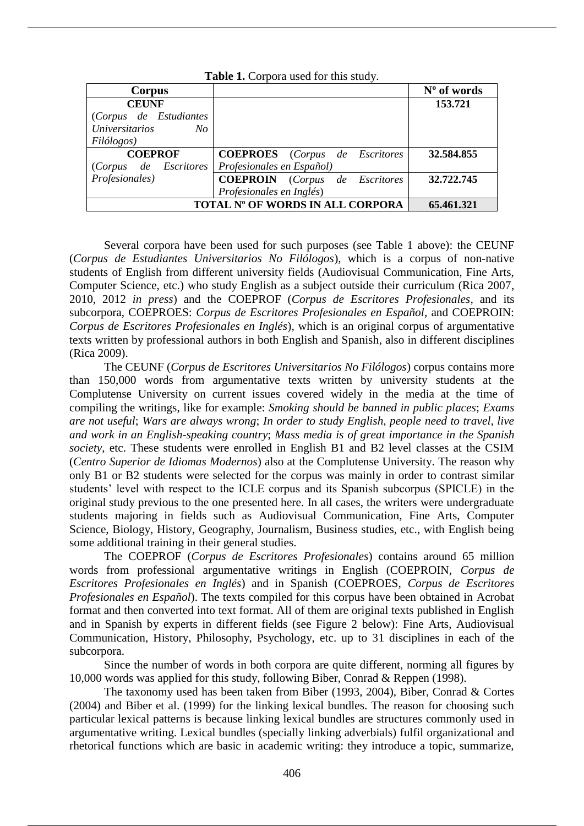| <b>THERE I</b> : Corpora about 101 this state $\mu$ . |                                       |             |  |  |
|-------------------------------------------------------|---------------------------------------|-------------|--|--|
| Corpus                                                |                                       | N° of words |  |  |
| <b>CEUNF</b>                                          |                                       | 153.721     |  |  |
| (Corpus de Estudiantes                                |                                       |             |  |  |
| <i>Universitarios</i><br>No                           |                                       |             |  |  |
| Filólogos)                                            |                                       |             |  |  |
| <b>COEPROF</b>                                        | <b>COEPROES</b> (Corpus de Escritores | 32.584.855  |  |  |
| (Corpus de Escritores                                 | Profesionales en Español)             |             |  |  |
| Profesionales)                                        | <b>COEPROIN</b> (Corpus de Escritores | 32.722.745  |  |  |
|                                                       | Profesionales en Inglés)              |             |  |  |
| TOTAL Nº OF WORDS IN ALL CORPORA                      | 65.461.321                            |             |  |  |

**Table 1.** Corpora used for this study.

Several corpora have been used for such purposes (see Table 1 above): the CEUNF (*Corpus de Estudiantes Universitarios No Filólogos*), which is a corpus of non-native students of English from different university fields (Audiovisual Communication, Fine Arts, Computer Science, etc.) who study English as a subject outside their curriculum (Rica 2007, 2010, 2012 *in press*) and the COEPROF (*Corpus de Escritores Profesionales*, and its subcorpora, COEPROES: *Corpus de Escritores Profesionales en Español*, and COEPROIN: *Corpus de Escritores Profesionales en Inglés*), which is an original corpus of argumentative texts written by professional authors in both English and Spanish, also in different disciplines (Rica 2009).

The CEUNF (*Corpus de Escritores Universitarios No Filólogos*) corpus contains more than 150,000 words from argumentative texts written by university students at the Complutense University on current issues covered widely in the media at the time of compiling the writings, like for example: *Smoking should be banned in public places*; *Exams are not useful*; *Wars are always wrong*; *In order to study English, people need to travel, live and work in an English-speaking country*; *Mass media is of great importance in the Spanish society*, etc. These students were enrolled in English B1 and B2 level classes at the CSIM (*Centro Superior de Idiomas Modernos*) also at the Complutense University. The reason why only B1 or B2 students were selected for the corpus was mainly in order to contrast similar students' level with respect to the ICLE corpus and its Spanish subcorpus (SPICLE) in the original study previous to the one presented here. In all cases, the writers were undergraduate students majoring in fields such as Audiovisual Communication, Fine Arts, Computer Science, Biology, History, Geography, Journalism, Business studies, etc., with English being some additional training in their general studies.

The COEPROF (*Corpus de Escritores Profesionales*) contains around 65 million words from professional argumentative writings in English (COEPROIN, *Corpus de Escritores Profesionales en Inglés*) and in Spanish (COEPROES, *Corpus de Escritores Profesionales en Español*). The texts compiled for this corpus have been obtained in Acrobat format and then converted into text format. All of them are original texts published in English and in Spanish by experts in different fields (see Figure 2 below): Fine Arts, Audiovisual Communication, History, Philosophy, Psychology, etc. up to 31 disciplines in each of the subcorpora.

Since the number of words in both corpora are quite different, norming all figures by 10,000 words was applied for this study, following Biber, Conrad & Reppen (1998).

The taxonomy used has been taken from Biber (1993, 2004), Biber, Conrad & Cortes (2004) and Biber et al. (1999) for the linking lexical bundles. The reason for choosing such particular lexical patterns is because linking lexical bundles are structures commonly used in argumentative writing. Lexical bundles (specially linking adverbials) fulfil organizational and rhetorical functions which are basic in academic writing: they introduce a topic, summarize,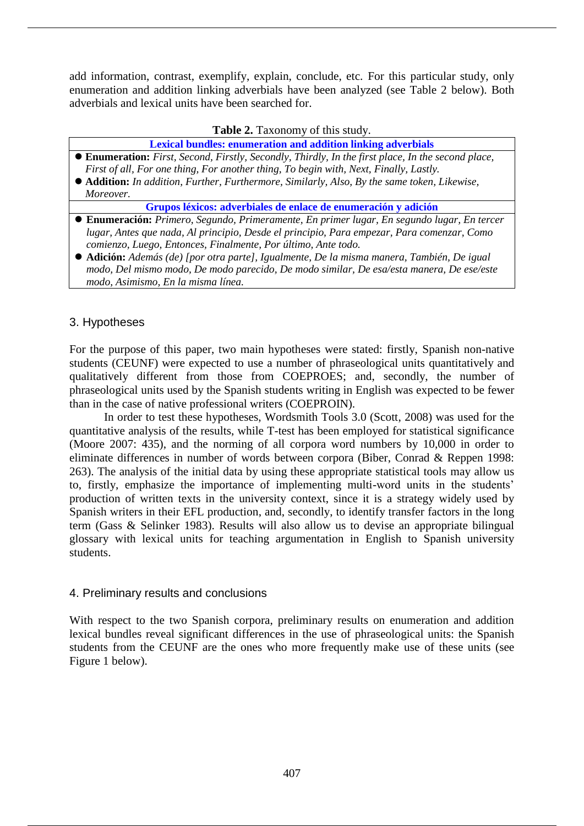add information, contrast, exemplify, explain, conclude, etc. For this particular study, only enumeration and addition linking adverbials have been analyzed (see Table 2 below). Both adverbials and lexical units have been searched for.

**Table 2.** Taxonomy of this study.

**Lexical bundles: enumeration and addition linking adverbials**

- **Enumeration:** *First, Second, Firstly, Secondly, Thirdly, In the first place, In the second place, First of all, For one thing, For another thing, To begin with, Next, Finally, Lastly.*
- **Addition:** *In addition, Further, Furthermore, Similarly, Also, By the same token, Likewise, Moreover.*

**Grupos léxicos: adverbiales de enlace de enumeración y adición**

- **Enumeración:** *Primero, Segundo, Primeramente, En primer lugar, En segundo lugar, En tercer lugar, Antes que nada, Al principio, Desde el principio, Para empezar, Para comenzar, Como comienzo, Luego, Entonces, Finalmente, Por último, Ante todo.*
- **Adición:** *Además (de) [por otra parte], Igualmente, De la misma manera, También, De igual modo, Del mismo modo, De modo parecido, De modo similar, De esa/esta manera, De ese/este modo, Asimismo, En la misma línea.*

# 3. Hypotheses

For the purpose of this paper, two main hypotheses were stated: firstly, Spanish non-native students (CEUNF) were expected to use a number of phraseological units quantitatively and qualitatively different from those from COEPROES; and, secondly, the number of phraseological units used by the Spanish students writing in English was expected to be fewer than in the case of native professional writers (COEPROIN).

In order to test these hypotheses, Wordsmith Tools 3.0 (Scott, 2008) was used for the quantitative analysis of the results, while T-test has been employed for statistical significance (Moore 2007: 435), and the norming of all corpora word numbers by 10,000 in order to eliminate differences in number of words between corpora (Biber, Conrad & Reppen 1998: 263). The analysis of the initial data by using these appropriate statistical tools may allow us to, firstly, emphasize the importance of implementing multi-word units in the students' production of written texts in the university context, since it is a strategy widely used by Spanish writers in their EFL production, and, secondly, to identify transfer factors in the long term (Gass & Selinker 1983). Results will also allow us to devise an appropriate bilingual glossary with lexical units for teaching argumentation in English to Spanish university students.

# 4. Preliminary results and conclusions

With respect to the two Spanish corpora, preliminary results on enumeration and addition lexical bundles reveal significant differences in the use of phraseological units: the Spanish students from the CEUNF are the ones who more frequently make use of these units (see Figure 1 below).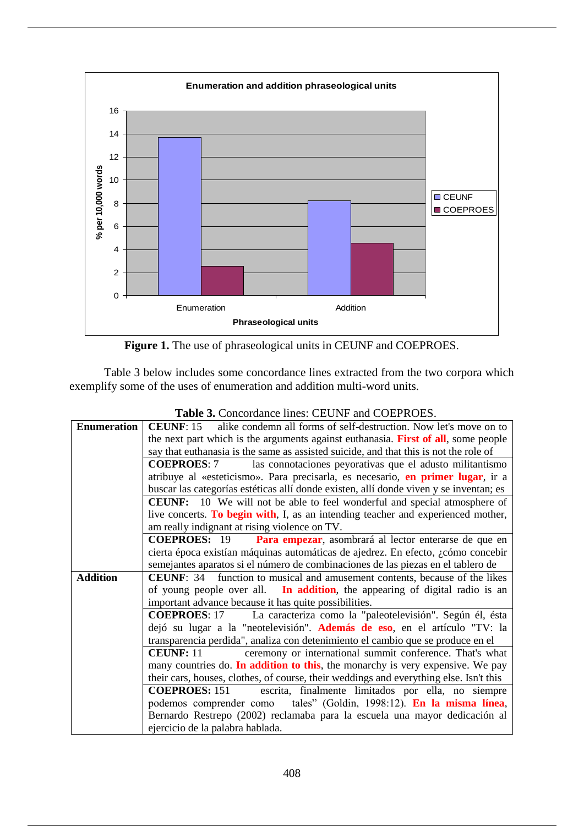

**Figure 1.** The use of phraseological units in CEUNF and COEPROES.

Table 3 below includes some concordance lines extracted from the two corpora which exemplify some of the uses of enumeration and addition multi-word units.

| <b>Lable 3.</b> Concordance mics. CEOTYF and COET ROES.                                              |  |  |
|------------------------------------------------------------------------------------------------------|--|--|
| <b>Enumeration</b><br>alike condemn all forms of self-destruction. Now let's move on to<br>CEUNE: 15 |  |  |
| the next part which is the arguments against euthanasia. First of all, some people                   |  |  |
| say that euthanasia is the same as assisted suicide, and that this is not the role of                |  |  |
| las connotaciones peyorativas que el adusto militantismo<br><b>COEPROES: 7</b>                       |  |  |
| atribuye al «esteticismo». Para precisarla, es necesario, en primer lugar, ir a                      |  |  |
| buscar las categorías estéticas allí donde existen, allí donde viven y se inventan; es               |  |  |
| <b>CEUNF:</b> 10 We will not be able to feel wonderful and special atmosphere of                     |  |  |
| live concerts. To begin with, I, as an intending teacher and experienced mother,                     |  |  |
| am really indignant at rising violence on TV.                                                        |  |  |
| <b>COEPROES:</b> 19 Para empezar, asombrará al lector enterarse de que en                            |  |  |
| cierta época existían máquinas automáticas de ajedrez. En efecto, ¿cómo concebir                     |  |  |
| semejantes aparatos si el número de combinaciones de las piezas en el tablero de                     |  |  |
| <b>CEUNF:</b> 34 function to musical and amusement contents, because of the likes<br><b>Addition</b> |  |  |
| of young people over all. In addition, the appearing of digital radio is an                          |  |  |
| important advance because it has quite possibilities.                                                |  |  |
| <b>COEPROES</b> : 17 La caracteriza como la "paleotelevisión". Según él, ésta                        |  |  |
| dejó su lugar a la "neotelevisión". Además de eso, en el artículo "TV: la                            |  |  |
| transparencia perdida", analiza con detenimiento el cambio que se produce en el                      |  |  |
| ceremony or international summit conference. That's what<br>CEUNF: 11                                |  |  |
| many countries do. In addition to this, the monarchy is very expensive. We pay                       |  |  |
| their cars, houses, clothes, of course, their weddings and everything else. Isn't this               |  |  |
| <b>COEPROES: 151</b><br>escrita, finalmente limitados por ella, no siempre                           |  |  |
| podemos comprender como tales" (Goldin, 1998:12). En la misma línea,                                 |  |  |
| Bernardo Restrepo (2002) reclamaba para la escuela una mayor dedicación al                           |  |  |
| ejercicio de la palabra hablada.                                                                     |  |  |

**Table 3.** Concordance lines: CEUNF and COEPROES.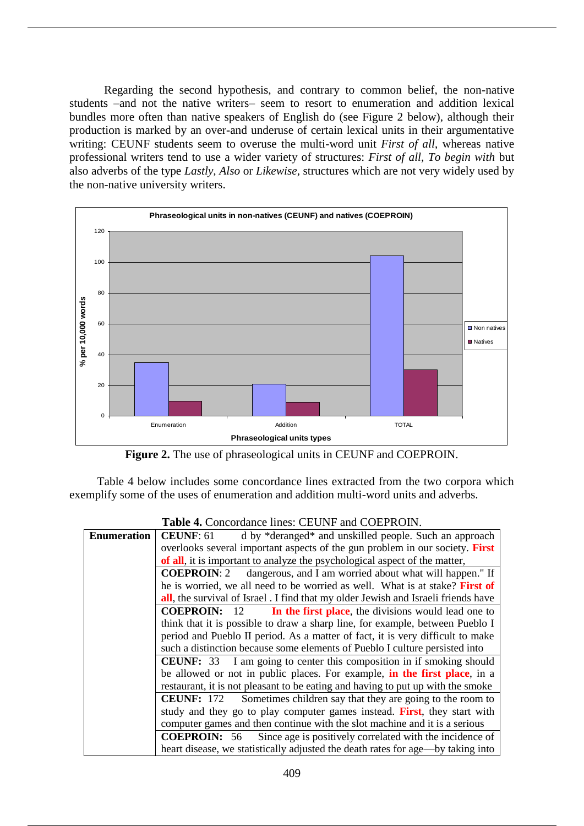Regarding the second hypothesis, and contrary to common belief, the non-native students –and not the native writers– seem to resort to enumeration and addition lexical bundles more often than native speakers of English do (see Figure 2 below), although their production is marked by an over-and underuse of certain lexical units in their argumentative writing: CEUNF students seem to overuse the multi-word unit *First of all*, whereas native professional writers tend to use a wider variety of structures: *First of all, To begin with* but also adverbs of the type *Lastly, Also* or *Likewise*, structures which are not very widely used by the non-native university writers.



**Figure 2.** The use of phraseological units in CEUNF and COEPROIN.

Table 4 below includes some concordance lines extracted from the two corpora which exemplify some of the uses of enumeration and addition multi-word units and adverbs.

| <b>Enumeration</b> | <b>CEUNF: 61</b><br>d by *deranged* and unskilled people. Such an approach                 |  |  |
|--------------------|--------------------------------------------------------------------------------------------|--|--|
|                    | overlooks several important aspects of the gun problem in our society. First               |  |  |
|                    | of all, it is important to analyze the psychological aspect of the matter,                 |  |  |
|                    | <b>COEPROIN:</b> 2 dangerous, and I am worried about what will happen." If                 |  |  |
|                    | he is worried, we all need to be worried as well. What is at stake? First of               |  |  |
|                    | <b>all</b> , the survival of Israel . I find that my older Jewish and Israeli friends have |  |  |
|                    | <b>COEPROIN:</b> 12<br>In the first place, the divisions would lead one to                 |  |  |
|                    | think that it is possible to draw a sharp line, for example, between Pueblo I              |  |  |
|                    | period and Pueblo II period. As a matter of fact, it is very difficult to make             |  |  |
|                    | such a distinction because some elements of Pueblo I culture persisted into                |  |  |
|                    | <b>CEUNF:</b> 33 I am going to center this composition in if smoking should                |  |  |
|                    | be allowed or not in public places. For example, in the first place, in a                  |  |  |
|                    | restaurant, it is not pleasant to be eating and having to put up with the smoke            |  |  |
|                    | <b>CEUNF:</b> 172 Sometimes children say that they are going to the room to                |  |  |
|                    | study and they go to play computer games instead. First, they start with                   |  |  |
|                    | computer games and then continue with the slot machine and it is a serious                 |  |  |
|                    | <b>COEPROIN:</b> 56 Since age is positively correlated with the incidence of               |  |  |
|                    | heart disease, we statistically adjusted the death rates for age—by taking into            |  |  |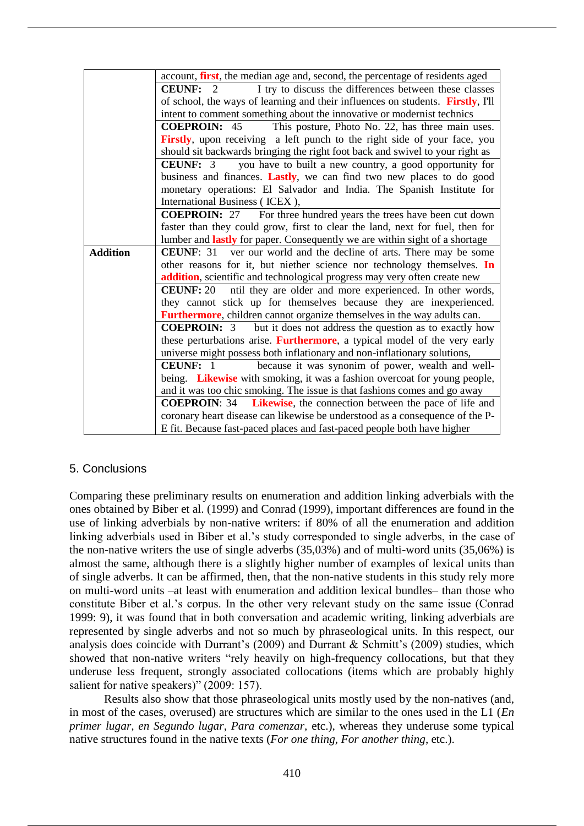|                 | account, <b>first</b> , the median age and, second, the percentage of residents aged |  |  |
|-----------------|--------------------------------------------------------------------------------------|--|--|
|                 | I try to discuss the differences between these classes<br><b>CEUNF:</b><br>2         |  |  |
|                 | of school, the ways of learning and their influences on students. Firstly, I'll      |  |  |
|                 | intent to comment something about the innovative or modernist technics               |  |  |
|                 | <b>COEPROIN: 45</b><br>This posture, Photo No. 22, has three main uses.              |  |  |
|                 | Firstly, upon receiving a left punch to the right side of your face, you             |  |  |
|                 | should sit backwards bringing the right foot back and swivel to your right as        |  |  |
|                 | <b>CEUNF:</b> 3<br>you have to built a new country, a good opportunity for           |  |  |
|                 | business and finances. Lastly, we can find two new places to do good                 |  |  |
|                 | monetary operations: El Salvador and India. The Spanish Institute for                |  |  |
|                 | International Business (ICEX),                                                       |  |  |
|                 | <b>COEPROIN:</b> 27 For three hundred years the trees have been cut down             |  |  |
|                 | faster than they could grow, first to clear the land, next for fuel, then for        |  |  |
|                 | lumber and <b>lastly</b> for paper. Consequently we are within sight of a shortage   |  |  |
| <b>Addition</b> | <b>CEUNF:</b> 31 ver our world and the decline of arts. There may be some            |  |  |
|                 | other reasons for it, but niether science nor technology themselves. In              |  |  |
|                 | addition, scientific and technological progress may very often create new            |  |  |
|                 | ntil they are older and more experienced. In other words,<br><b>CEUNF: 20</b>        |  |  |
|                 | they cannot stick up for themselves because they are inexperienced.                  |  |  |
|                 | <b>Furthermore</b> , children cannot organize themselves in the way adults can.      |  |  |
|                 | <b>COEPROIN:</b> 3 but it does not address the question as to exactly how            |  |  |
|                 | these perturbations arise. Furthermore, a typical model of the very early            |  |  |
|                 | universe might possess both inflationary and non-inflationary solutions,             |  |  |
|                 | because it was synonim of power, wealth and well-<br><b>CEUNF:</b> 1                 |  |  |
|                 | being. Likewise with smoking, it was a fashion overcoat for young people,            |  |  |
|                 | and it was too chic smoking. The issue is that fashions comes and go away            |  |  |
|                 | <b>COEPROIN:</b> 34 <b>Likewise</b> , the connection between the pace of life and    |  |  |
|                 | coronary heart disease can likewise be understood as a consequence of the P-         |  |  |
|                 | E fit. Because fast-paced places and fast-paced people both have higher              |  |  |

## 5. Conclusions

Comparing these preliminary results on enumeration and addition linking adverbials with the ones obtained by Biber et al. (1999) and Conrad (1999), important differences are found in the use of linking adverbials by non-native writers: if 80% of all the enumeration and addition linking adverbials used in Biber et al.'s study corresponded to single adverbs, in the case of the non-native writers the use of single adverbs (35,03%) and of multi-word units (35,06%) is almost the same, although there is a slightly higher number of examples of lexical units than of single adverbs. It can be affirmed, then, that the non-native students in this study rely more on multi-word units –at least with enumeration and addition lexical bundles– than those who constitute Biber et al.'s corpus. In the other very relevant study on the same issue (Conrad 1999: 9), it was found that in both conversation and academic writing, linking adverbials are represented by single adverbs and not so much by phraseological units. In this respect, our analysis does coincide with Durrant's (2009) and Durrant & Schmitt's (2009) studies, which showed that non-native writers "rely heavily on high-frequency collocations, but that they underuse less frequent, strongly associated collocations (items which are probably highly salient for native speakers)" (2009: 157).

Results also show that those phraseological units mostly used by the non-natives (and, in most of the cases, overused) are structures which are similar to the ones used in the L1 (*En primer lugar, en Segundo lugar, Para comenzar,* etc.), whereas they underuse some typical native structures found in the native texts (*For one thing, For another thing*, etc.).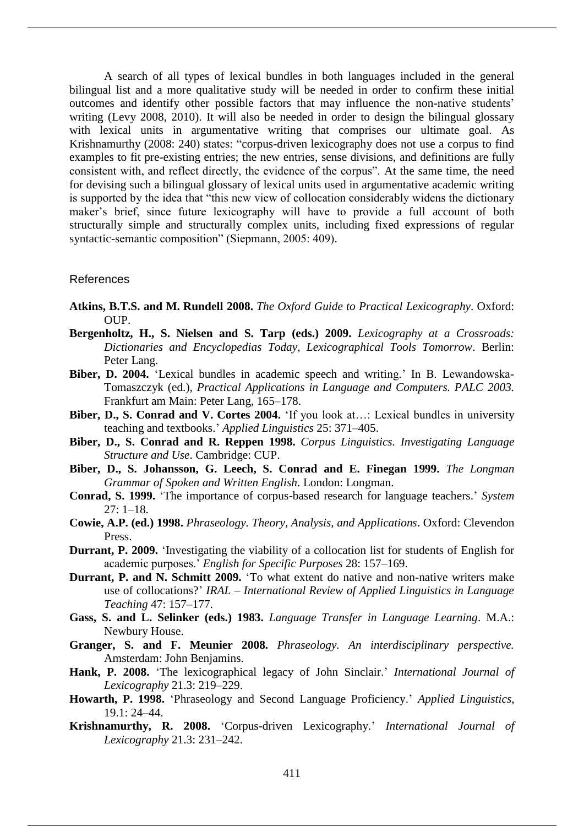A search of all types of lexical bundles in both languages included in the general bilingual list and a more qualitative study will be needed in order to confirm these initial outcomes and identify other possible factors that may influence the non-native students' writing (Levy 2008, 2010). It will also be needed in order to design the bilingual glossary with lexical units in argumentative writing that comprises our ultimate goal. As Krishnamurthy (2008: 240) states: "corpus-driven lexicography does not use a corpus to find examples to fit pre-existing entries; the new entries, sense divisions, and definitions are fully consistent with, and reflect directly, the evidence of the corpus". At the same time, the need for devising such a bilingual glossary of lexical units used in argumentative academic writing is supported by the idea that "this new view of collocation considerably widens the dictionary maker's brief, since future lexicography will have to provide a full account of both structurally simple and structurally complex units, including fixed expressions of regular syntactic-semantic composition" (Siepmann, 2005: 409).

#### References

- **Atkins, B.T.S. and M. Rundell 2008.** *The Oxford Guide to Practical Lexicography*. Oxford:  $OUP$ .
- **Bergenholtz, H., S. Nielsen and S. Tarp (eds.) 2009.** *Lexicography at a Crossroads: Dictionaries and Encyclopedias Today, Lexicographical Tools Tomorrow*. Berlin: Peter Lang.
- **Biber, D. 2004.** 'Lexical bundles in academic speech and writing.' In B. Lewandowska-Tomaszczyk (ed.), *Practical Applications in Language and Computers. PALC 2003.*  Frankfurt am Main: Peter Lang, 165–178.
- **Biber, D., S. Conrad and V. Cortes 2004.** 'If you look at…: Lexical bundles in university teaching and textbooks.' *Applied Linguistics* 25: 371–405.
- **Biber, D., S. Conrad and R. Reppen 1998.** *Corpus Linguistics. Investigating Language Structure and Use*. Cambridge: CUP.
- **Biber, D., S. Johansson, G. Leech, S. Conrad and E. Finegan 1999.** *The Longman Grammar of Spoken and Written English*. London: Longman.
- **Conrad, S. 1999.** 'The importance of corpus-based research for language teachers.' *System*  $27: 1 - 18.$
- **Cowie, A.P. (ed.) 1998.** *Phraseology. Theory, Analysis, and Applications*. Oxford: Clevendon Press.
- **Durrant, P. 2009.** 'Investigating the viability of a collocation list for students of English for academic purposes.' *English for Specific Purposes* 28: 157–169.
- **Durrant, P. and N. Schmitt 2009.** 'To what extent do native and non-native writers make use of collocations?' *IRAL – International Review of Applied Linguistics in Language Teaching* 47: 157–177.
- **Gass, S. and L. Selinker (eds.) 1983.** *Language Transfer in Language Learning*. M.A.: Newbury House.
- **Granger, S. and F. Meunier 2008.** *Phraseology. An interdisciplinary perspective.*  Amsterdam: John Benjamins.
- **Hank, P. 2008.** 'The lexicographical legacy of John Sinclair.' *International Journal of Lexicography* 21.3: 219‒229.
- **Howarth, P. 1998.** 'Phraseology and Second Language Proficiency.' *Applied Linguistics*, 19.1: 24‒44.
- **Krishnamurthy, R. 2008.** 'Corpus-driven Lexicography.' *International Journal of Lexicography* 21.3: 231–242.